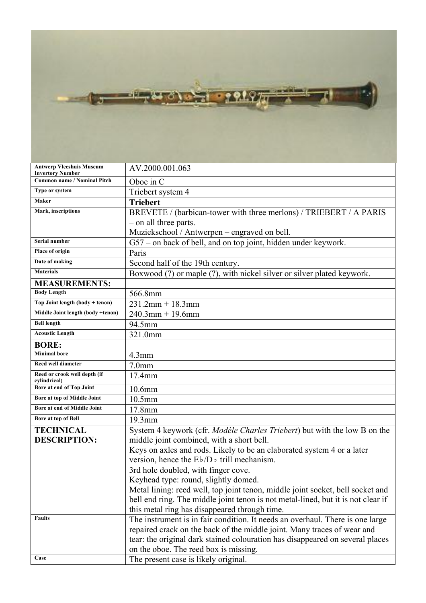

| <b>Antwerp Vleeshuis Museum</b><br><b>Invertory Number</b> | AV.2000.001.063                                                                   |
|------------------------------------------------------------|-----------------------------------------------------------------------------------|
| <b>Common name / Nominal Pitch</b>                         | Oboe in C                                                                         |
| Type or system                                             | Triebert system 4                                                                 |
| Maker                                                      | <b>Triebert</b>                                                                   |
| Mark, inscriptions                                         | BREVETE / (barbican-tower with three merlons) / TRIEBERT / A PARIS                |
|                                                            | - on all three parts.                                                             |
|                                                            | Muziekschool / Antwerpen - engraved on bell.                                      |
| Serial number                                              | G57 – on back of bell, and on top joint, hidden under keywork.                    |
| Place of origin                                            | Paris                                                                             |
| Date of making                                             | Second half of the 19th century.                                                  |
| <b>Materials</b>                                           | Boxwood (?) or maple (?), with nickel silver or silver plated keywork.            |
| <b>MEASUREMENTS:</b>                                       |                                                                                   |
| <b>Body Length</b>                                         | 566.8mm                                                                           |
| Top Joint length (body + tenon)                            | $231.2mm + 18.3mm$                                                                |
| Middle Joint length (body +tenon)                          | $240.3$ mm + 19.6mm                                                               |
| <b>Bell length</b>                                         | 94.5mm                                                                            |
| <b>Acoustic Length</b>                                     | 321.0mm                                                                           |
| <b>BORE:</b>                                               |                                                                                   |
| <b>Minimal bore</b>                                        | $4.3$ mm                                                                          |
| Reed well diameter                                         | 7.0 <sub>mm</sub>                                                                 |
| Reed or crook well depth (if<br>cylindrical)               | $17.4$ mm                                                                         |
| Bore at end of Top Joint                                   | 10.6mm                                                                            |
| Bore at top of Middle Joint                                | $10.5$ mm                                                                         |
| Bore at end of Middle Joint                                | 17.8mm                                                                            |
| Bore at top of Bell                                        | 19.3mm                                                                            |
| <b>TECHNICAL</b>                                           | System 4 keywork (cfr. <i>Modèle Charles Triebert</i> ) but with the low B on the |
| <b>DESCRIPTION:</b>                                        | middle joint combined, with a short bell.                                         |
|                                                            | Keys on axles and rods. Likely to be an elaborated system 4 or a later            |
|                                                            | version, hence the $E\flat/D\flat$ trill mechanism.                               |
|                                                            | 3rd hole doubled, with finger cove.                                               |
|                                                            | Keyhead type: round, slightly domed.                                              |
|                                                            | Metal lining: reed well, top joint tenon, middle joint socket, bell socket and    |
|                                                            | bell end ring. The middle joint tenon is not metal-lined, but it is not clear if  |
|                                                            | this metal ring has disappeared through time.                                     |
| <b>Faults</b>                                              | The instrument is in fair condition. It needs an overhaul. There is one large     |
|                                                            | repaired crack on the back of the middle joint. Many traces of wear and           |
|                                                            | tear: the original dark stained colouration has disappeared on several places     |
|                                                            | on the oboe. The reed box is missing.                                             |
| Case                                                       | The present case is likely original.                                              |